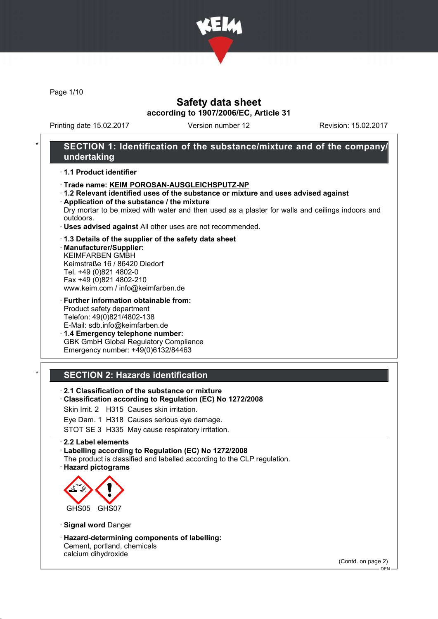

Page 1/10

### Safety data sheet according to 1907/2006/EC, Article 31

Printing date 15.02.2017 Version number 12 Revision: 15.02.2017

### SECTION 1: Identification of the substance/mixture and of the company/ undertaking

#### · 1.1 Product identifier

- · Trade name: KEIM POROSAN-AUSGLEICHSPUTZ-NP
- · 1.2 Relevant identified uses of the substance or mixture and uses advised against
- · Application of the substance / the mixture Dry mortar to be mixed with water and then used as a plaster for walls and ceilings indoors and outdoors.
- · Uses advised against All other uses are not recommended.

#### · 1.3 Details of the supplier of the safety data sheet

· Manufacturer/Supplier: KEIMFARBEN GMBH Keimstraße 16 / 86420 Diedorf Tel. +49 (0)821 4802-0 Fax +49 (0)821 4802-210 www.keim.com / info@keimfarben.de

· Further information obtainable from: Product safety department Telefon: 49(0)821/4802-138 E-Mail: sdb.info@keimfarben.de

· 1.4 Emergency telephone number: GBK GmbH Global Regulatory Compliance Emergency number: +49(0)6132/84463

### **SECTION 2: Hazards identification**

- · 2.1 Classification of the substance or mixture
- · Classification according to Regulation (EC) No 1272/2008
- Skin Irrit. 2 H315 Causes skin irritation.
- Eye Dam. 1 H318 Causes serious eye damage.

STOT SE 3 H335 May cause respiratory irritation.

#### · 2.2 Label elements

· Labelling according to Regulation (EC) No 1272/2008

- The product is classified and labelled according to the CLP regulation.
- · Hazard pictograms



· Signal word Danger

· Hazard-determining components of labelling: Cement, portland, chemicals calcium dihydroxide

(Contd. on page 2)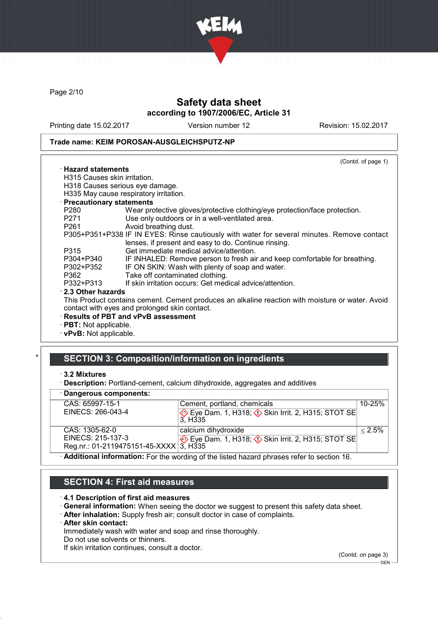

Page 2/10

## Safety data sheet according to 1907/2006/EC, Article 31

Printing date 15.02.2017 Version number 12 Revision: 15.02.2017

#### Trade name: KEIM POROSAN-AUSGLEICHSPUTZ-NP

|                               | (Contd. of page 1)                                                                                                                                 |
|-------------------------------|----------------------------------------------------------------------------------------------------------------------------------------------------|
| $\cdot$ Hazard statements     |                                                                                                                                                    |
| H315 Causes skin irritation.  |                                                                                                                                                    |
|                               | H318 Causes serious eye damage.                                                                                                                    |
|                               | H335 May cause respiratory irritation.                                                                                                             |
| · Precautionary statements    |                                                                                                                                                    |
| P280                          | Wear protective gloves/protective clothing/eye protection/face protection.                                                                         |
| P271 and the P271             | Use only outdoors or in a well-ventilated area.                                                                                                    |
| P261 and the P261             | Avoid breathing dust.                                                                                                                              |
|                               | P305+P351+P338 IF IN EYES: Rinse cautiously with water for several minutes. Remove contact<br>lenses, if present and easy to do. Continue rinsing. |
| P315                          | Get immediate medical advice/attention.                                                                                                            |
| P304+P340                     | IF INHALED: Remove person to fresh air and keep comfortable for breathing.                                                                         |
| P302+P352                     | IF ON SKIN: Wash with plenty of soap and water.                                                                                                    |
| P362                          | Take off contaminated clothing.                                                                                                                    |
| P332+P313                     | If skin irritation occurs: Get medical advice/attention.                                                                                           |
| 2.3 Other hazards             |                                                                                                                                                    |
|                               | This Product contains cement. Cement produces an alkaline reaction with moisture or water. Avoid                                                   |
|                               | contact with eyes and prolonged skin contact.                                                                                                      |
|                               | · Results of PBT and vPvB assessment                                                                                                               |
| · PBT: Not applicable.        |                                                                                                                                                    |
| $\cdot$ vPvB: Not applicable. |                                                                                                                                                    |

## SECTION 3: Composition/information on ingredients

#### · Dangerous components:

| $-$ , $ -$ , $-$ , ,                   |                                                                                                  |            |
|----------------------------------------|--------------------------------------------------------------------------------------------------|------------|
| CAS: 65997-15-1                        | Cement, portland, chemicals                                                                      | $10 - 25%$ |
| EINECS: 266-043-4                      | Eye Dam. 1, H318; $\Diamond$ Skin Irrit. 2, H315; STOT SE                                        |            |
|                                        | 3. H335                                                                                          |            |
| CAS: 1305-62-0                         | calcium dihydroxide                                                                              | $< 2.5\%$  |
| EINECS: 215-137-3                      | $\diamondsuit$ Eye Dam. 1, H318; $\diamondsuit$ Skin Irrit. 2, H315; STOT SE                     |            |
| Reg.nr.: 01-2119475151-45-XXXX 3, H335 |                                                                                                  |            |
|                                        | $\cdot$ Additional information: Ear the wording of the listed hazard phrases refer to section 16 |            |

· Additional information: For the wording of the listed hazard phrases refer to section 16.

## SECTION 4: First aid measures

#### · 4.1 Description of first aid measures

- · General information: When seeing the doctor we suggest to present this safety data sheet.
- · After inhalation: Supply fresh air; consult doctor in case of complaints.
- · After skin contact:

Immediately wash with water and soap and rinse thoroughly.

Do not use solvents or thinners.

If skin irritation continues, consult a doctor.

(Contd. on page 3)

<sup>·</sup> 3.2 Mixtures

<sup>·</sup> Description: Portland-cement, calcium dihydroxide, aggregates and additives

 $-$  DEN -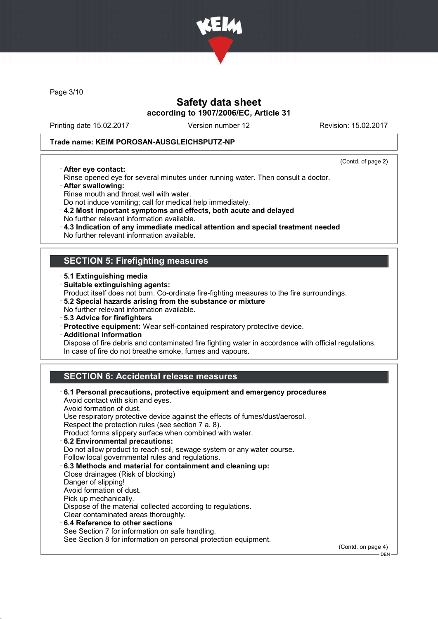

Page 3/10

## Safety data sheet according to 1907/2006/EC, Article 31

Printing date 15.02.2017 Version number 12 Revision: 15.02.2017

#### Trade name: KEIM POROSAN-AUSGLEICHSPUTZ-NP

· After eye contact:

(Contd. of page 2)

- Rinse opened eye for several minutes under running water. Then consult a doctor. · After swallowing:
- Rinse mouth and throat well with water.
- Do not induce vomiting; call for medical help immediately.
- · 4.2 Most important symptoms and effects, both acute and delayed No further relevant information available.
- · 4.3 Indication of any immediate medical attention and special treatment needed
- No further relevant information available.

### SECTION 5: Firefighting measures

- · 5.1 Extinguishing media
- · Suitable extinguishing agents:
- Product itself does not burn. Co-ordinate fire-fighting measures to the fire surroundings.
- · 5.2 Special hazards arising from the substance or mixture
- No further relevant information available.
- · 5.3 Advice for firefighters
- · Protective equipment: Wear self-contained respiratory protective device.
- · Additional information

Dispose of fire debris and contaminated fire fighting water in accordance with official regulations. In case of fire do not breathe smoke, fumes and vapours.

## SECTION 6: Accidental release measures

| $\cdot$ 6.1 Personal precautions, protective equipment and emergency procedures<br>Avoid contact with skin and eyes. |                    |
|----------------------------------------------------------------------------------------------------------------------|--------------------|
| Avoid formation of dust.                                                                                             |                    |
| Use respiratory protective device against the effects of fumes/dust/aerosol.                                         |                    |
| Respect the protection rules (see section 7 a. 8).                                                                   |                    |
| Product forms slippery surface when combined with water.                                                             |                    |
| 6.2 Environmental precautions:                                                                                       |                    |
| Do not allow product to reach soil, sewage system or any water course.                                               |                    |
| Follow local governmental rules and regulations.                                                                     |                    |
| 6.3 Methods and material for containment and cleaning up:                                                            |                    |
| Close drainages (Risk of blocking)                                                                                   |                    |
| Danger of slipping!                                                                                                  |                    |
| Avoid formation of dust.                                                                                             |                    |
| Pick up mechanically.                                                                                                |                    |
| Dispose of the material collected according to regulations.                                                          |                    |
| Clear contaminated areas thoroughly.                                                                                 |                    |
| $\cdot$ 6.4 Reference to other sections                                                                              |                    |
| See Section 7 for information on safe handling.                                                                      |                    |
|                                                                                                                      |                    |
| See Section 8 for information on personal protection equipment.                                                      |                    |
|                                                                                                                      | (Contd. on page 4) |

 $-$  DEN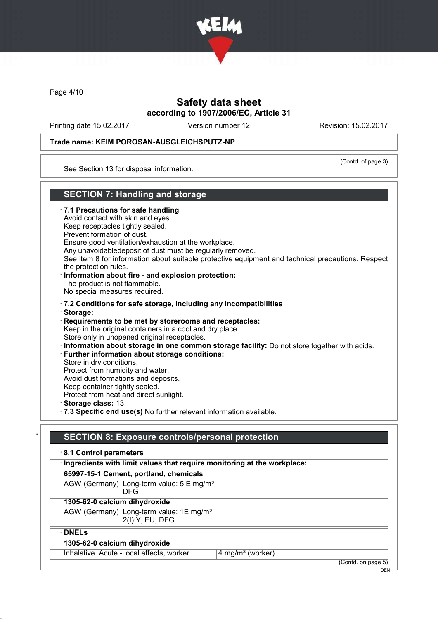

Page 4/10

## Safety data sheet according to 1907/2006/EC, Article 31

Printing date 15.02.2017 Version number 12 Revision: 15.02.2017

### Trade name: KEIM POROSAN-AUSGLEICHSPUTZ-NP

(Contd. of page 3)

See Section 13 for disposal information.

### SECTION 7: Handling and storage

· 7.1 Precautions for safe handling Avoid contact with skin and eyes. Keep receptacles tightly sealed. Prevent formation of dust. Ensure good ventilation/exhaustion at the workplace. Any unavoidabledeposit of dust must be regularly removed. See item 8 for information about suitable protective equipment and technical precautions. Respect the protection rules. · Information about fire - and explosion protection: The product is not flammable. No special measures required. · 7.2 Conditions for safe storage, including any incompatibilities · Storage: · Requirements to be met by storerooms and receptacles: Keep in the original containers in a cool and dry place. Store only in unopened original receptacles. · Information about storage in one common storage facility: Do not store together with acids. · Further information about storage conditions: Store in dry conditions. Protect from humidity and water. Avoid dust formations and deposits. Keep container tightly sealed. Protect from heat and direct sunlight. · Storage class: 13 · 7.3 Specific end use(s) No further relevant information available.

# SECTION 8: Exposure controls/personal protection

| 8.1 Control parameters                                                    |                                                                         |                              |                    |  |
|---------------------------------------------------------------------------|-------------------------------------------------------------------------|------------------------------|--------------------|--|
| · Ingredients with limit values that require monitoring at the workplace: |                                                                         |                              |                    |  |
|                                                                           | 65997-15-1 Cement, portland, chemicals                                  |                              |                    |  |
|                                                                           | AGW (Germany) Long-term value: 5 E mg/m <sup>3</sup><br>DFG             |                              |                    |  |
|                                                                           | 1305-62-0 calcium dihydroxide                                           |                              |                    |  |
|                                                                           | AGW (Germany) Long-term value: 1E mg/m <sup>3</sup><br>2(I); Y, EU, DFG |                              |                    |  |
| $\cdot$ DNELs                                                             |                                                                         |                              |                    |  |
| 1305-62-0 calcium dihydroxide                                             |                                                                         |                              |                    |  |
|                                                                           | Inhalative   Acute - local effects, worker                              | 4 mg/m <sup>3</sup> (worker) |                    |  |
|                                                                           |                                                                         |                              | (Contd. on page 5) |  |

 $-$  DEN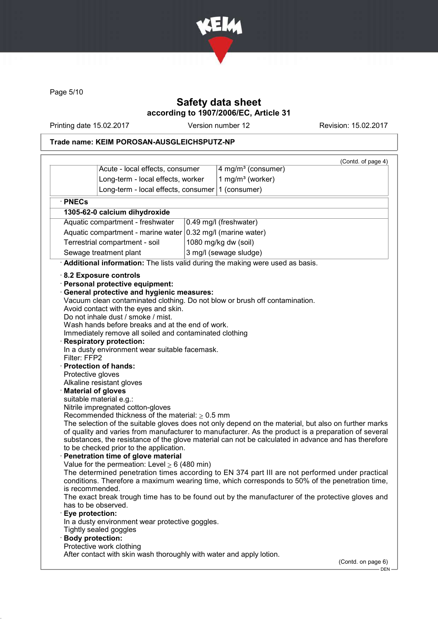

Page 5/10

## Safety data sheet according to 1907/2006/EC, Article 31

Printing date 15.02.2017 Version number 12 Revision: 15.02.2017

## Trade name: KEIM POROSAN-AUSGLEICHSPUTZ-NP

|                                                                                                    |                                                                                                                                                                                                                                                                                                                                                                                                                                                                                                                                                                                                                                                                                                                                                                                                                                                    |                                                                                                                                                                                                                                                                                                                                                                                                                                                                                                                                                                                                                                                                                                             | (Contd. of page 4) |
|----------------------------------------------------------------------------------------------------|----------------------------------------------------------------------------------------------------------------------------------------------------------------------------------------------------------------------------------------------------------------------------------------------------------------------------------------------------------------------------------------------------------------------------------------------------------------------------------------------------------------------------------------------------------------------------------------------------------------------------------------------------------------------------------------------------------------------------------------------------------------------------------------------------------------------------------------------------|-------------------------------------------------------------------------------------------------------------------------------------------------------------------------------------------------------------------------------------------------------------------------------------------------------------------------------------------------------------------------------------------------------------------------------------------------------------------------------------------------------------------------------------------------------------------------------------------------------------------------------------------------------------------------------------------------------------|--------------------|
|                                                                                                    | Acute - local effects, consumer                                                                                                                                                                                                                                                                                                                                                                                                                                                                                                                                                                                                                                                                                                                                                                                                                    | 4 mg/m <sup>3</sup> (consumer)                                                                                                                                                                                                                                                                                                                                                                                                                                                                                                                                                                                                                                                                              |                    |
|                                                                                                    | Long-term - local effects, worker                                                                                                                                                                                                                                                                                                                                                                                                                                                                                                                                                                                                                                                                                                                                                                                                                  | 1 mg/m <sup>3</sup> (worker)                                                                                                                                                                                                                                                                                                                                                                                                                                                                                                                                                                                                                                                                                |                    |
|                                                                                                    | Long-term - local effects, consumer                                                                                                                                                                                                                                                                                                                                                                                                                                                                                                                                                                                                                                                                                                                                                                                                                | 1 (consumer)                                                                                                                                                                                                                                                                                                                                                                                                                                                                                                                                                                                                                                                                                                |                    |
| · PNECs                                                                                            |                                                                                                                                                                                                                                                                                                                                                                                                                                                                                                                                                                                                                                                                                                                                                                                                                                                    |                                                                                                                                                                                                                                                                                                                                                                                                                                                                                                                                                                                                                                                                                                             |                    |
|                                                                                                    | 1305-62-0 calcium dihydroxide                                                                                                                                                                                                                                                                                                                                                                                                                                                                                                                                                                                                                                                                                                                                                                                                                      |                                                                                                                                                                                                                                                                                                                                                                                                                                                                                                                                                                                                                                                                                                             |                    |
| Aquatic compartment - freshwater                                                                   |                                                                                                                                                                                                                                                                                                                                                                                                                                                                                                                                                                                                                                                                                                                                                                                                                                                    | 0.49 mg/l (freshwater)                                                                                                                                                                                                                                                                                                                                                                                                                                                                                                                                                                                                                                                                                      |                    |
| Aquatic compartment - marine water                                                                 |                                                                                                                                                                                                                                                                                                                                                                                                                                                                                                                                                                                                                                                                                                                                                                                                                                                    | 0.32 mg/l (marine water)                                                                                                                                                                                                                                                                                                                                                                                                                                                                                                                                                                                                                                                                                    |                    |
| Terrestrial compartment - soil                                                                     |                                                                                                                                                                                                                                                                                                                                                                                                                                                                                                                                                                                                                                                                                                                                                                                                                                                    | 1080 mg/kg dw (soil)                                                                                                                                                                                                                                                                                                                                                                                                                                                                                                                                                                                                                                                                                        |                    |
|                                                                                                    | Sewage treatment plant                                                                                                                                                                                                                                                                                                                                                                                                                                                                                                                                                                                                                                                                                                                                                                                                                             | 3 mg/l (sewage sludge)                                                                                                                                                                                                                                                                                                                                                                                                                                                                                                                                                                                                                                                                                      |                    |
|                                                                                                    |                                                                                                                                                                                                                                                                                                                                                                                                                                                                                                                                                                                                                                                                                                                                                                                                                                                    | Additional information: The lists valid during the making were used as basis.                                                                                                                                                                                                                                                                                                                                                                                                                                                                                                                                                                                                                               |                    |
| Filter: FFP2<br>Protective gloves<br>is recommended.<br>Eye protection:<br><b>Body protection:</b> | · Personal protective equipment:<br>General protective and hygienic measures:<br>Avoid contact with the eyes and skin.<br>Do not inhale dust / smoke / mist.<br>Wash hands before breaks and at the end of work.<br>Immediately remove all soiled and contaminated clothing<br><b>Respiratory protection:</b><br>In a dusty environment wear suitable facemask.<br>· Protection of hands:<br>Alkaline resistant gloves<br><b>Material of gloves</b><br>suitable material e.g.:<br>Nitrile impregnated cotton-gloves<br>Recommended thickness of the material: $\geq 0.5$ mm<br>to be checked prior to the application.<br>Penetration time of glove material<br>Value for the permeation: Level $\geq 6$ (480 min)<br>has to be observed.<br>In a dusty environment wear protective goggles.<br>Tightly sealed goggles<br>Protective work clothing | Vacuum clean contaminated clothing. Do not blow or brush off contamination.<br>The selection of the suitable gloves does not only depend on the material, but also on further marks<br>of quality and varies from manufacturer to manufacturer. As the product is a preparation of several<br>substances, the resistance of the glove material can not be calculated in advance and has therefore<br>The determined penetration times according to EN 374 part III are not performed under practical<br>conditions. Therefore a maximum wearing time, which corresponds to 50% of the penetration time,<br>The exact break trough time has to be found out by the manufacturer of the protective gloves and |                    |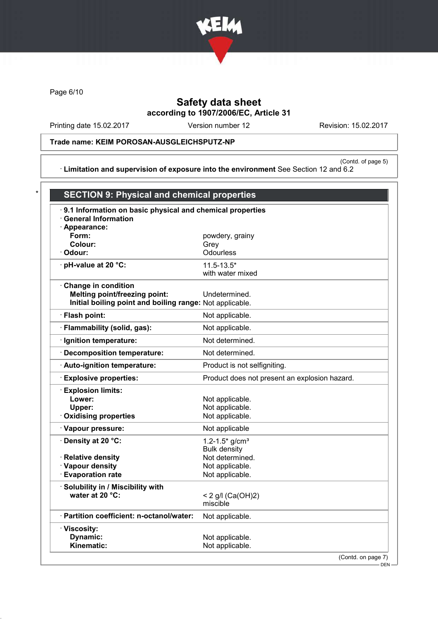

Page 6/10

# Safety data sheet according to 1907/2006/EC, Article 31

Printing date 15.02.2017 Version number 12 Revision: 15.02.2017

### Trade name: KEIM POROSAN-AUSGLEICHSPUTZ-NP

(Contd. of page 5) · Limitation and supervision of exposure into the environment See Section 12 and 6.2

| 9.1 Information on basic physical and chemical properties<br><b>General Information</b><br>· Appearance: |                                               |  |
|----------------------------------------------------------------------------------------------------------|-----------------------------------------------|--|
| Form:                                                                                                    | powdery, grainy                               |  |
| Colour:                                                                                                  | Grey                                          |  |
| · Odour:                                                                                                 | Odourless                                     |  |
| $\cdot$ pH-value at 20 °C:                                                                               | $11.5 - 13.5*$<br>with water mixed            |  |
| Change in condition                                                                                      |                                               |  |
| <b>Melting point/freezing point:</b>                                                                     | Undetermined.                                 |  |
| Initial boiling point and boiling range: Not applicable.                                                 |                                               |  |
| · Flash point:                                                                                           | Not applicable.                               |  |
| · Flammability (solid, gas):                                                                             | Not applicable.                               |  |
| · Ignition temperature:                                                                                  | Not determined.                               |  |
| · Decomposition temperature:                                                                             | Not determined.                               |  |
| · Auto-ignition temperature:                                                                             | Product is not selfigniting.                  |  |
| <b>Explosive properties:</b>                                                                             | Product does not present an explosion hazard. |  |
| · Explosion limits:                                                                                      |                                               |  |
| Lower:                                                                                                   | Not applicable.                               |  |
| Upper:                                                                                                   | Not applicable.                               |  |
| Oxidising properties                                                                                     | Not applicable.                               |  |
| · Vapour pressure:                                                                                       | Not applicable                                |  |
| · Density at 20 °C:                                                                                      | 1.2-1.5 $*$ g/cm <sup>3</sup>                 |  |
| · Relative density                                                                                       | <b>Bulk density</b><br>Not determined.        |  |
| · Vapour density                                                                                         | Not applicable.                               |  |
| · Evaporation rate                                                                                       | Not applicable.                               |  |
| · Solubility in / Miscibility with                                                                       |                                               |  |
| water at 20 °C:                                                                                          | < 2 g/l (Ca(OH)2)                             |  |
|                                                                                                          | miscible                                      |  |
| · Partition coefficient: n-octanol/water:                                                                | Not applicable.                               |  |
| · Viscosity:                                                                                             |                                               |  |
| <b>Dynamic:</b>                                                                                          | Not applicable.<br>Not applicable.            |  |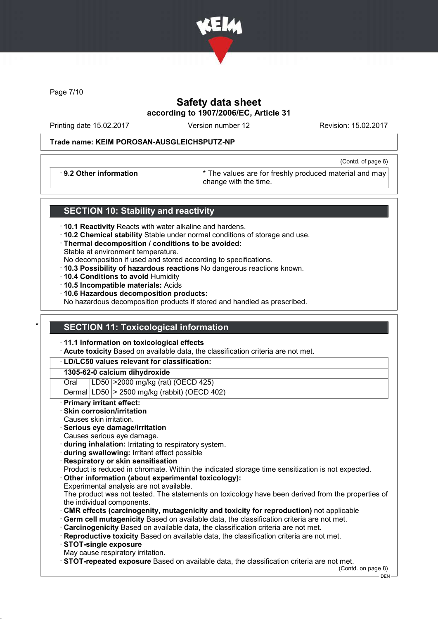

Page 7/10

## Safety data sheet according to 1907/2006/EC, Article 31

Printing date 15.02.2017 Version number 12 Revision: 15.02.2017

(Contd. of page 6)

### Trade name: KEIM POROSAN-AUSGLEICHSPUTZ-NP

· 9.2 Other information \* The values are for freshly produced material and may change with the time.

### SECTION 10: Stability and reactivity

- · 10.1 Reactivity Reacts with water alkaline and hardens.
- · 10.2 Chemical stability Stable under normal conditions of storage and use.
- · Thermal decomposition / conditions to be avoided: Stable at environment temperature.
- No decomposition if used and stored according to specifications.
- · 10.3 Possibility of hazardous reactions No dangerous reactions known.
- · 10.4 Conditions to avoid Humidity
- · 10.5 Incompatible materials: Acids
- · 10.6 Hazardous decomposition products:

No hazardous decomposition products if stored and handled as prescribed.

## **SECTION 11: Toxicological information**

### · 11.1 Information on toxicological effects

Acute toxicity Based on available data, the classification criteria are not met.

### · LD/LC50 values relevant for classification:

### 1305-62-0 calcium dihydroxide

Oral LD50 >2000 mg/kg (rat) (OECD 425)

Dermal  $|LD50|$  > 2500 mg/kg (rabbit) (OECD 402)

### **Primary irritant effect:**

- Skin corrosion/irritation
- Causes skin irritation.
- Serious eye damage/irritation
- Causes serious eye damage.
- · during inhalation: Irritating to respiratory system.
- · during swallowing: Irritant effect possible
- · Respiratory or skin sensitisation

Product is reduced in chromate. Within the indicated storage time sensitization is not expected.

Other information (about experimental toxicology): Experimental analysis are not available.

The product was not tested. The statements on toxicology have been derived from the properties of the individual components.

- · CMR effects (carcinogenity, mutagenicity and toxicity for reproduction) not applicable
- · Germ cell mutagenicity Based on available data, the classification criteria are not met.
- · Carcinogenicity Based on available data, the classification criteria are not met.
- · Reproductive toxicity Based on available data, the classification criteria are not met.
- · STOT-single exposure
- May cause respiratory irritation.
- · STOT-repeated exposure Based on available data, the classification criteria are not met.

(Contd. on page 8)

DEN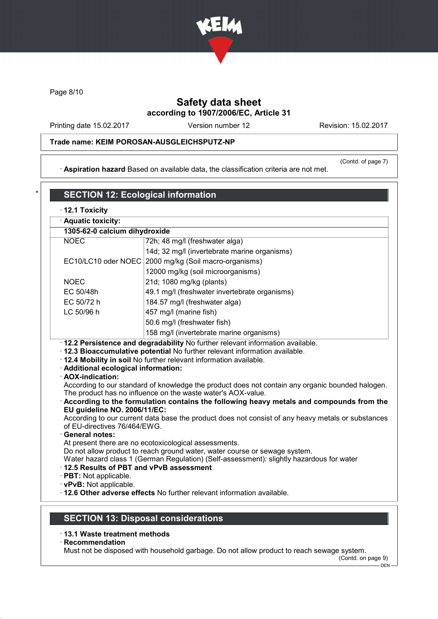

Page 8/10

# Safety data sheet according to 1907/2006/EC, Article 31

Printing date 15.02.2017 Version number 12 Revision: 15.02.2017

### Trade name: KEIM POROSAN-AUSGLEICHSPUTZ-NP

· Aspiration hazard Based on available data, the classification criteria are not met.

(Contd. of page 7)

| · Aquatic toxicity:                                                                                                         |                                                                                                                                                                                                                                                                                                                                                                                                                                                                                                                                                                                                     |
|-----------------------------------------------------------------------------------------------------------------------------|-----------------------------------------------------------------------------------------------------------------------------------------------------------------------------------------------------------------------------------------------------------------------------------------------------------------------------------------------------------------------------------------------------------------------------------------------------------------------------------------------------------------------------------------------------------------------------------------------------|
| 1305-62-0 calcium dihydroxide                                                                                               |                                                                                                                                                                                                                                                                                                                                                                                                                                                                                                                                                                                                     |
| <b>NOEC</b><br>72h; 48 mg/l (freshwater alga)                                                                               |                                                                                                                                                                                                                                                                                                                                                                                                                                                                                                                                                                                                     |
|                                                                                                                             | 14d; 32 mg/l (invertebrate marine organisms)                                                                                                                                                                                                                                                                                                                                                                                                                                                                                                                                                        |
| EC10/LC10 oder NOEC                                                                                                         | 2000 mg/kg (Soil macro-organisms)                                                                                                                                                                                                                                                                                                                                                                                                                                                                                                                                                                   |
|                                                                                                                             | 12000 mg/kg (soil microorganisms)                                                                                                                                                                                                                                                                                                                                                                                                                                                                                                                                                                   |
| <b>NOEC</b>                                                                                                                 | 21d; 1080 mg/kg (plants)                                                                                                                                                                                                                                                                                                                                                                                                                                                                                                                                                                            |
| EC 50/48h                                                                                                                   | 49.1 mg/l (freshwater invertebrate organisms)                                                                                                                                                                                                                                                                                                                                                                                                                                                                                                                                                       |
| EC 50/72 h                                                                                                                  | 184.57 mg/l (freshwater alga)                                                                                                                                                                                                                                                                                                                                                                                                                                                                                                                                                                       |
| LC 50/96 h                                                                                                                  | 457 mg/l (marine fish)                                                                                                                                                                                                                                                                                                                                                                                                                                                                                                                                                                              |
|                                                                                                                             | 50.6 mg/l (freshwater fish)                                                                                                                                                                                                                                                                                                                                                                                                                                                                                                                                                                         |
|                                                                                                                             | 158 mg/l (invertebrate marine organisms)                                                                                                                                                                                                                                                                                                                                                                                                                                                                                                                                                            |
| · Additional ecological information:<br>· AOX-indication:                                                                   | · 12.3 Bioaccumulative potential No further relevant information available.<br>. 12.4 Mobility in soil No further relevant information available.                                                                                                                                                                                                                                                                                                                                                                                                                                                   |
| EU guideline NO. 2006/11/EC:<br>of EU-directives 76/464/EWG.<br>· General notes:<br>12.5 Results of PBT and vPvB assessment | According to our standard of knowledge the product does not contain any organic bounded halogen.<br>The product has no influence on the waste water's AOX-value.<br>According to the formulation contains the following heavy metals and compounds from the<br>According to our current data base the product does not consist of any heavy metals or substances<br>At present there are no ecotoxicological assessments.<br>Do not allow product to reach ground water, water course or sewage system.<br>Water hazard class 1 (German Regulation) (Self-assessment): slightly hazardous for water |
| · PBT: Not applicable.                                                                                                      |                                                                                                                                                                                                                                                                                                                                                                                                                                                                                                                                                                                                     |

# · 13.1 Waste treatment methods

· Recommendation

Must not be disposed with household garbage. Do not allow product to reach sewage system.

(Contd. on page 9) - DEN -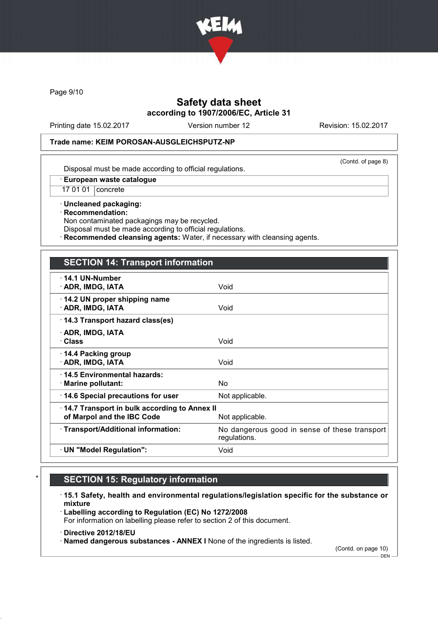

Page 9/10

## Safety data sheet according to 1907/2006/EC, Article 31

Printing date 15.02.2017 Version number 12 Revision: 15.02.2017

#### Trade name: KEIM POROSAN-AUSGLEICHSPUTZ-NP

(Contd. of page 8)

Disposal must be made according to official regulations.

· European waste catalogue

17 01 01 concrete

· Uncleaned packaging: · Recommendation: Non contaminated packagings may be recycled.

Disposal must be made according to official regulations.

Recommended cleansing agents: Water, if necessary with cleansing agents.

### SECTION 14: Transport information

| $\cdot$ 14.1 UN-Number<br>· ADR, IMDG, IATA<br>Void<br>14.2 UN proper shipping name<br>· ADR, IMDG, IATA<br>Void<br>14.3 Transport hazard class(es)<br>· ADR, IMDG, IATA<br>· Class<br>Void<br>14.4 Packing group<br>· ADR, IMDG, IATA<br>Void<br>⋅14.5 Environmental hazards:<br>$\cdot$ Marine pollutant:<br>No.<br>14.6 Special precautions for user<br>Not applicable.<br>14.7 Transport in bulk according to Annex II<br>of Marpol and the IBC Code<br>Not applicable.<br>· Transport/Additional information:<br>No dangerous good in sense of these transport<br>regulations. |  |
|-------------------------------------------------------------------------------------------------------------------------------------------------------------------------------------------------------------------------------------------------------------------------------------------------------------------------------------------------------------------------------------------------------------------------------------------------------------------------------------------------------------------------------------------------------------------------------------|--|
|                                                                                                                                                                                                                                                                                                                                                                                                                                                                                                                                                                                     |  |
|                                                                                                                                                                                                                                                                                                                                                                                                                                                                                                                                                                                     |  |
|                                                                                                                                                                                                                                                                                                                                                                                                                                                                                                                                                                                     |  |
|                                                                                                                                                                                                                                                                                                                                                                                                                                                                                                                                                                                     |  |
|                                                                                                                                                                                                                                                                                                                                                                                                                                                                                                                                                                                     |  |
|                                                                                                                                                                                                                                                                                                                                                                                                                                                                                                                                                                                     |  |
|                                                                                                                                                                                                                                                                                                                                                                                                                                                                                                                                                                                     |  |
|                                                                                                                                                                                                                                                                                                                                                                                                                                                                                                                                                                                     |  |
|                                                                                                                                                                                                                                                                                                                                                                                                                                                                                                                                                                                     |  |
| · UN "Model Regulation":<br>Void                                                                                                                                                                                                                                                                                                                                                                                                                                                                                                                                                    |  |

# **SECTION 15: Regulatory information**

· 15.1 Safety, health and environmental regulations/legislation specific for the substance or mixture

· Labelling according to Regulation (EC) No 1272/2008 For information on labelling please refer to section 2 of this document.

· Directive 2012/18/EU

· Named dangerous substances - ANNEX I None of the ingredients is listed.

(Contd. on page 10)

 $-$  DEN